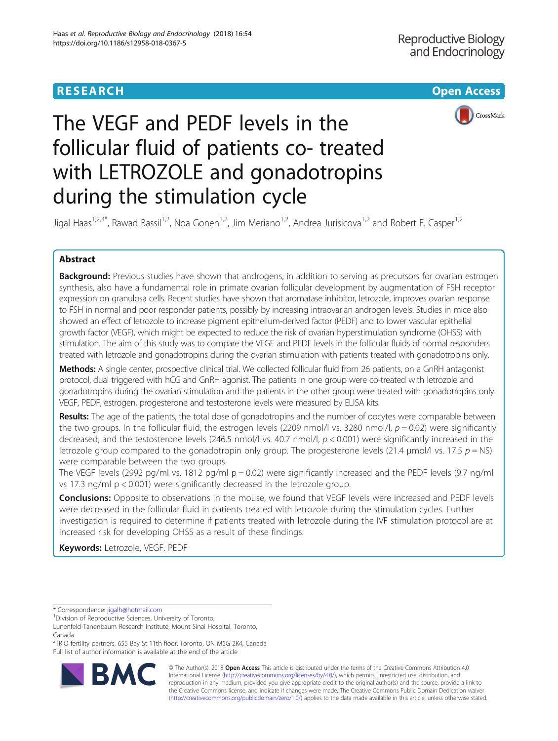# **RESEARCH CHE Open Access**



# The VEGF and PEDF levels in the follicular fluid of patients co- treated with LETROZOLE and gonadotropins during the stimulation cycle

Jigal Haas<sup>1,2,3\*</sup>, Rawad Bassil<sup>1,2</sup>, Noa Gonen<sup>1,2</sup>, Jim Meriano<sup>1,2</sup>, Andrea Jurisicova<sup>1,2</sup> and Robert F. Casper<sup>1,2</sup>

## Abstract

Background: Previous studies have shown that androgens, in addition to serving as precursors for ovarian estrogen synthesis, also have a fundamental role in primate ovarian follicular development by augmentation of FSH receptor expression on granulosa cells. Recent studies have shown that aromatase inhibitor, letrozole, improves ovarian response to FSH in normal and poor responder patients, possibly by increasing intraovarian androgen levels. Studies in mice also showed an effect of letrozole to increase pigment epithelium-derived factor (PEDF) and to lower vascular epithelial growth factor (VEGF), which might be expected to reduce the risk of ovarian hyperstimulation syndrome (OHSS) with stimulation. The aim of this study was to compare the VEGF and PEDF levels in the follicular fluids of normal responders treated with letrozole and gonadotropins during the ovarian stimulation with patients treated with gonadotropins only.

Methods: A single center, prospective clinical trial. We collected follicular fluid from 26 patients, on a GnRH antagonist protocol, dual triggered with hCG and GnRH agonist. The patients in one group were co-treated with letrozole and gonadotropins during the ovarian stimulation and the patients in the other group were treated with gonadotropins only. VEGF, PEDF, estrogen, progesterone and testosterone levels were measured by ELISA kits.

**Results:** The age of the patients, the total dose of gonadotropins and the number of oocytes were comparable between the two groups. In the follicular fluid, the estrogen levels (2209 nmol/l vs. 3280 nmol/l,  $p = 0.02$ ) were significantly decreased, and the testosterone levels (246.5 nmol/l vs. 40.7 nmol/l,  $p < 0.001$ ) were significantly increased in the letrozole group compared to the gonadotropin only group. The progesterone levels (21.4  $\mu$ mol/l vs. 17.5  $p = NS$ ) were comparable between the two groups.

The VEGF levels (2992 pg/ml vs. 1812 pg/ml p = 0.02) were significantly increased and the PEDF levels (9.7 ng/ml vs 17.3 ng/ml p < 0.001) were significantly decreased in the letrozole group.

**Conclusions:** Opposite to observations in the mouse, we found that VEGF levels were increased and PEDF levels were decreased in the follicular fluid in patients treated with letrozole during the stimulation cycles. Further investigation is required to determine if patients treated with letrozole during the IVF stimulation protocol are at increased risk for developing OHSS as a result of these findings.

Keywords: Letrozole, VEGF. PEDF

<sup>2</sup>TRIO fertility partners, 655 Bay St 11th floor, Toronto, ON M5G 2K4, Canada Full list of author information is available at the end of the article



© The Author(s). 2018 Open Access This article is distributed under the terms of the Creative Commons Attribution 4.0 International License [\(http://creativecommons.org/licenses/by/4.0/](http://creativecommons.org/licenses/by/4.0/)), which permits unrestricted use, distribution, and reproduction in any medium, provided you give appropriate credit to the original author(s) and the source, provide a link to the Creative Commons license, and indicate if changes were made. The Creative Commons Public Domain Dedication waiver [\(http://creativecommons.org/publicdomain/zero/1.0/](http://creativecommons.org/publicdomain/zero/1.0/)) applies to the data made available in this article, unless otherwise stated.

<sup>\*</sup> Correspondence: [jigalh@hotmail.com](mailto:jigalh@hotmail.com) <sup>1</sup>

<sup>&</sup>lt;sup>1</sup> Division of Reproductive Sciences, University of Toronto,

Lunenfeld-Tanenbaum Research Institute, Mount Sinai Hospital, Toronto, Canada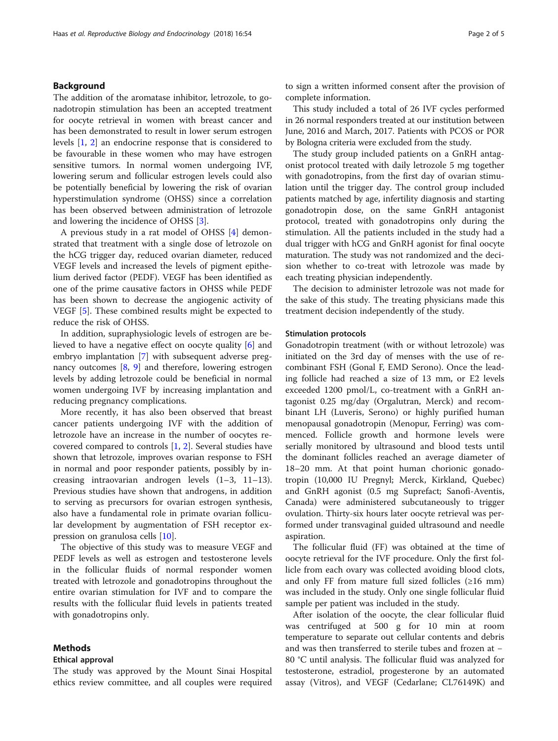### Background

The addition of the aromatase inhibitor, letrozole, to gonadotropin stimulation has been an accepted treatment for oocyte retrieval in women with breast cancer and has been demonstrated to result in lower serum estrogen levels [[1,](#page-4-0) [2](#page-4-0)] an endocrine response that is considered to be favourable in these women who may have estrogen sensitive tumors. In normal women undergoing IVF, lowering serum and follicular estrogen levels could also be potentially beneficial by lowering the risk of ovarian hyperstimulation syndrome (OHSS) since a correlation has been observed between administration of letrozole and lowering the incidence of OHSS [[3\]](#page-4-0).

A previous study in a rat model of OHSS [[4\]](#page-4-0) demonstrated that treatment with a single dose of letrozole on the hCG trigger day, reduced ovarian diameter, reduced VEGF levels and increased the levels of pigment epithelium derived factor (PEDF). VEGF has been identified as one of the prime causative factors in OHSS while PEDF has been shown to decrease the angiogenic activity of VEGF [[5\]](#page-4-0). These combined results might be expected to reduce the risk of OHSS.

In addition, supraphysiologic levels of estrogen are believed to have a negative effect on oocyte quality [\[6](#page-4-0)] and embryo implantation [[7\]](#page-4-0) with subsequent adverse pregnancy outcomes  $[8, 9]$  $[8, 9]$  $[8, 9]$  $[8, 9]$  and therefore, lowering estrogen levels by adding letrozole could be beneficial in normal women undergoing IVF by increasing implantation and reducing pregnancy complications.

More recently, it has also been observed that breast cancer patients undergoing IVF with the addition of letrozole have an increase in the number of oocytes recovered compared to controls [[1](#page-4-0), [2\]](#page-4-0). Several studies have shown that letrozole, improves ovarian response to FSH in normal and poor responder patients, possibly by increasing intraovarian androgen levels (1–3, 11–13). Previous studies have shown that androgens, in addition to serving as precursors for ovarian estrogen synthesis, also have a fundamental role in primate ovarian follicular development by augmentation of FSH receptor expression on granulosa cells [\[10\]](#page-4-0).

The objective of this study was to measure VEGF and PEDF levels as well as estrogen and testosterone levels in the follicular fluids of normal responder women treated with letrozole and gonadotropins throughout the entire ovarian stimulation for IVF and to compare the results with the follicular fluid levels in patients treated with gonadotropins only.

#### Methods

#### Ethical approval

The study was approved by the Mount Sinai Hospital ethics review committee, and all couples were required to sign a written informed consent after the provision of complete information.

This study included a total of 26 IVF cycles performed in 26 normal responders treated at our institution between June, 2016 and March, 2017. Patients with PCOS or POR by Bologna criteria were excluded from the study.

The study group included patients on a GnRH antagonist protocol treated with daily letrozole 5 mg together with gonadotropins, from the first day of ovarian stimulation until the trigger day. The control group included patients matched by age, infertility diagnosis and starting gonadotropin dose, on the same GnRH antagonist protocol, treated with gonadotropins only during the stimulation. All the patients included in the study had a dual trigger with hCG and GnRH agonist for final oocyte maturation. The study was not randomized and the decision whether to co-treat with letrozole was made by each treating physician independently.

The decision to administer letrozole was not made for the sake of this study. The treating physicians made this treatment decision independently of the study.

#### Stimulation protocols

Gonadotropin treatment (with or without letrozole) was initiated on the 3rd day of menses with the use of recombinant FSH (Gonal F, EMD Serono). Once the leading follicle had reached a size of 13 mm, or E2 levels exceeded 1200 pmol/L, co-treatment with a GnRH antagonist 0.25 mg/day (Orgalutran, Merck) and recombinant LH (Luveris, Serono) or highly purified human menopausal gonadotropin (Menopur, Ferring) was commenced. Follicle growth and hormone levels were serially monitored by ultrasound and blood tests until the dominant follicles reached an average diameter of 18–20 mm. At that point human chorionic gonadotropin (10,000 IU Pregnyl; Merck, Kirkland, Quebec) and GnRH agonist (0.5 mg Suprefact; Sanofi-Aventis, Canada) were administered subcutaneously to trigger ovulation. Thirty-six hours later oocyte retrieval was performed under transvaginal guided ultrasound and needle aspiration.

The follicular fluid (FF) was obtained at the time of oocyte retrieval for the IVF procedure. Only the first follicle from each ovary was collected avoiding blood clots, and only FF from mature full sized follicles  $(≥16$  mm) was included in the study. Only one single follicular fluid sample per patient was included in the study.

After isolation of the oocyte, the clear follicular fluid was centrifuged at 500 g for 10 min at room temperature to separate out cellular contents and debris and was then transferred to sterile tubes and frozen at − 80 °C until analysis. The follicular fluid was analyzed for testosterone, estradiol, progesterone by an automated assay (Vitros), and VEGF (Cedarlane; CL76149K) and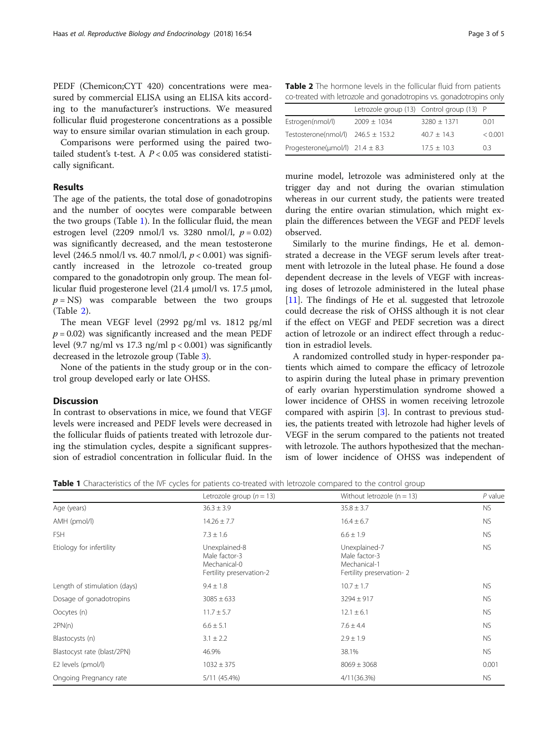PEDF (Chemicon;CYT 420) concentrations were measured by commercial ELISA using an ELISA kits according to the manufacturer's instructions. We measured follicular fluid progesterone concentrations as a possible way to ensure similar ovarian stimulation in each group.

Comparisons were performed using the paired twotailed student's t-test. A  $P < 0.05$  was considered statistically significant.

### Results

The age of the patients, the total dose of gonadotropins and the number of oocytes were comparable between the two groups (Table 1). In the follicular fluid, the mean estrogen level (2209 nmol/l vs. 3280 nmol/l,  $p = 0.02$ ) was significantly decreased, and the mean testosterone level (246.5 nmol/l vs. 40.7 nmol/l,  $p < 0.001$ ) was significantly increased in the letrozole co-treated group compared to the gonadotropin only group. The mean follicular fluid progesterone level (21.4 μmol/l vs. 17.5 μmol,  $p = NS$ ) was comparable between the two groups (Table 2).

The mean VEGF level (2992 pg/ml vs. 1812 pg/ml  $p = 0.02$ ) was significantly increased and the mean PEDF level (9.7 ng/ml vs 17.3 ng/ml  $p < 0.001$ ) was significantly decreased in the letrozole group (Table [3\)](#page-3-0).

None of the patients in the study group or in the control group developed early or late OHSS.

#### Discussion

In contrast to observations in mice, we found that VEGF levels were increased and PEDF levels were decreased in the follicular fluids of patients treated with letrozole during the stimulation cycles, despite a significant suppression of estradiol concentration in follicular fluid. In the

Table 2 The hormone levels in the follicular fluid from patients co-treated with letrozole and gonadotropins vs. gonadotropins only

|                                           | Letrozole group (13) Control group (13) P |               |         |
|-------------------------------------------|-------------------------------------------|---------------|---------|
| Estrogen(nmol/l)                          | $2009 + 1034$                             | $3280 + 1371$ | 0.01    |
| Testosterone(nmol/l) $246.5 \pm 153.2$    |                                           | $40.7 + 14.3$ | < 0.001 |
| Progesterone( $\mu$ mol/l) 21.4 $\pm$ 8.3 |                                           | $17.5 + 10.3$ | 03      |

murine model, letrozole was administered only at the trigger day and not during the ovarian stimulation whereas in our current study, the patients were treated during the entire ovarian stimulation, which might explain the differences between the VEGF and PEDF levels observed.

Similarly to the murine findings, He et al. demonstrated a decrease in the VEGF serum levels after treatment with letrozole in the luteal phase. He found a dose dependent decrease in the levels of VEGF with increasing doses of letrozole administered in the luteal phase [[11\]](#page-4-0). The findings of He et al. suggested that letrozole could decrease the risk of OHSS although it is not clear if the effect on VEGF and PEDF secretion was a direct action of letrozole or an indirect effect through a reduction in estradiol levels.

A randomized controlled study in hyper-responder patients which aimed to compare the efficacy of letrozole to aspirin during the luteal phase in primary prevention of early ovarian hyperstimulation syndrome showed a lower incidence of OHSS in women receiving letrozole compared with aspirin [[3\]](#page-4-0). In contrast to previous studies, the patients treated with letrozole had higher levels of VEGF in the serum compared to the patients not treated with letrozole. The authors hypothesized that the mechanism of lower incidence of OHSS was independent of

Table 1 Characteristics of the IVF cycles for patients co-treated with letrozole compared to the control group

|                              | Letrozole group ( $n = 13$ )                                               | Without letrozole ( $n = 13$ )                                             | $P$ value |
|------------------------------|----------------------------------------------------------------------------|----------------------------------------------------------------------------|-----------|
| Age (years)                  | $36.3 \pm 3.9$                                                             | $35.8 \pm 3.7$                                                             | <b>NS</b> |
| AMH (pmol/l)                 | $14.26 \pm 7.7$                                                            | $16.4 \pm 6.7$                                                             | <b>NS</b> |
| <b>FSH</b>                   | $7.3 \pm 1.6$                                                              | $6.6 \pm 1.9$                                                              | <b>NS</b> |
| Etiology for infertility     | Unexplained-8<br>Male factor-3<br>Mechanical-0<br>Fertility preservation-2 | Unexplained-7<br>Male factor-3<br>Mechanical-1<br>Fertility preservation-2 | <b>NS</b> |
| Length of stimulation (days) | $9.4 \pm 1.8$                                                              | $10.7 \pm 1.7$                                                             | <b>NS</b> |
| Dosage of gonadotropins      | $3085 \pm 633$                                                             | $3294 \pm 917$                                                             | <b>NS</b> |
| Oocytes (n)                  | $11.7 \pm 5.7$                                                             | $12.1 \pm 6.1$                                                             | <b>NS</b> |
| 2PN(n)                       | $6.6 \pm 5.1$                                                              | $7.6 \pm 4.4$                                                              | <b>NS</b> |
| Blastocysts (n)              | $3.1 \pm 2.2$                                                              | $2.9 \pm 1.9$                                                              | <b>NS</b> |
| Blastocyst rate (blast/2PN)  | 46.9%                                                                      | 38.1%                                                                      | <b>NS</b> |
| E2 levels (pmol/l)           | $1032 \pm 375$                                                             | $8069 \pm 3068$                                                            | 0.001     |
| Ongoing Pregnancy rate       | 5/11 (45.4%)                                                               | 4/11(36.3%)                                                                | <b>NS</b> |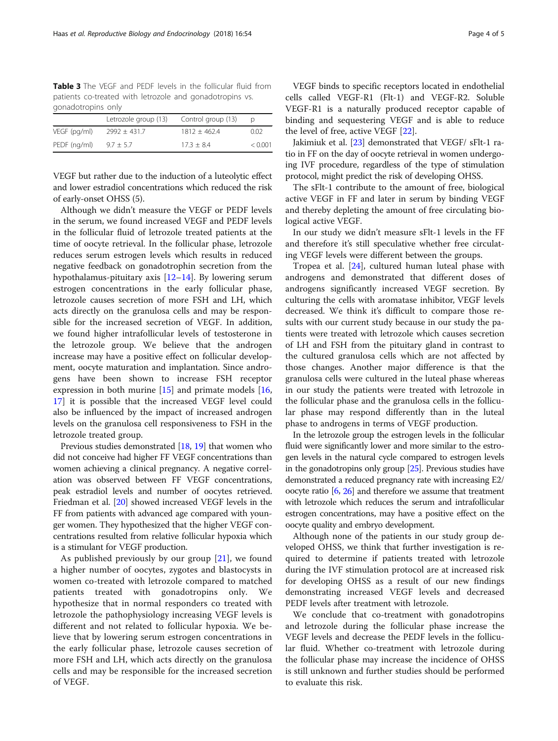<span id="page-3-0"></span>Table 3 The VEGF and PEDF levels in the follicular fluid from patients co-treated with letrozole and gonadotropins vs. gonadotropins only

|              | Letrozole group (13) | Control group (13) | р       |
|--------------|----------------------|--------------------|---------|
| VEGF (pg/ml) | $7992 + 431.7$       | $1812 + 4624$      | 0.02    |
| PEDF (ng/ml) | $9.7 \pm 5.7$        | $17.3 + 8.4$       | < 0.001 |

VEGF but rather due to the induction of a luteolytic effect and lower estradiol concentrations which reduced the risk of early-onset OHSS (5).

Although we didn't measure the VEGF or PEDF levels in the serum, we found increased VEGF and PEDF levels in the follicular fluid of letrozole treated patients at the time of oocyte retrieval. In the follicular phase, letrozole reduces serum estrogen levels which results in reduced negative feedback on gonadotrophin secretion from the hypothalamus-pituitary axis [\[12](#page-4-0)–[14\]](#page-4-0). By lowering serum estrogen concentrations in the early follicular phase, letrozole causes secretion of more FSH and LH, which acts directly on the granulosa cells and may be responsible for the increased secretion of VEGF. In addition, we found higher intrafollicular levels of testosterone in the letrozole group. We believe that the androgen increase may have a positive effect on follicular development, oocyte maturation and implantation. Since androgens have been shown to increase FSH receptor expression in both murine  $[15]$  $[15]$  and primate models  $[16]$  $[16]$  $[16]$ , [17\]](#page-4-0) it is possible that the increased VEGF level could also be influenced by the impact of increased androgen levels on the granulosa cell responsiveness to FSH in the letrozole treated group.

Previous studies demonstrated [[18,](#page-4-0) [19\]](#page-4-0) that women who did not conceive had higher FF VEGF concentrations than women achieving a clinical pregnancy. A negative correlation was observed between FF VEGF concentrations, peak estradiol levels and number of oocytes retrieved. Friedman et al. [\[20\]](#page-4-0) showed increased VEGF levels in the FF from patients with advanced age compared with younger women. They hypothesized that the higher VEGF concentrations resulted from relative follicular hypoxia which is a stimulant for VEGF production.

As published previously by our group [[21](#page-4-0)], we found a higher number of oocytes, zygotes and blastocysts in women co-treated with letrozole compared to matched patients treated with gonadotropins only. We hypothesize that in normal responders co treated with letrozole the pathophysiology increasing VEGF levels is different and not related to follicular hypoxia. We believe that by lowering serum estrogen concentrations in the early follicular phase, letrozole causes secretion of more FSH and LH, which acts directly on the granulosa cells and may be responsible for the increased secretion of VEGF.

VEGF binds to specific receptors located in endothelial cells called VEGF-R1 (Flt-1) and VEGF-R2. Soluble VEGF-R1 is a naturally produced receptor capable of binding and sequestering VEGF and is able to reduce the level of free, active VEGF [[22\]](#page-4-0).

Jakimiuk et al. [\[23\]](#page-4-0) demonstrated that VEGF/ sFlt-1 ratio in FF on the day of oocyte retrieval in women undergoing IVF procedure, regardless of the type of stimulation protocol, might predict the risk of developing OHSS.

The sFlt-1 contribute to the amount of free, biological active VEGF in FF and later in serum by binding VEGF and thereby depleting the amount of free circulating biological active VEGF.

In our study we didn't measure sFlt-1 levels in the FF and therefore it's still speculative whether free circulating VEGF levels were different between the groups.

Tropea et al. [\[24](#page-4-0)], cultured human luteal phase with androgens and demonstrated that different doses of androgens significantly increased VEGF secretion. By culturing the cells with aromatase inhibitor, VEGF levels decreased. We think it's difficult to compare those results with our current study because in our study the patients were treated with letrozole which causes secretion of LH and FSH from the pituitary gland in contrast to the cultured granulosa cells which are not affected by those changes. Another major difference is that the granulosa cells were cultured in the luteal phase whereas in our study the patients were treated with letrozole in the follicular phase and the granulosa cells in the follicular phase may respond differently than in the luteal phase to androgens in terms of VEGF production.

In the letrozole group the estrogen levels in the follicular fluid were significantly lower and more similar to the estrogen levels in the natural cycle compared to estrogen levels in the gonadotropins only group [[25](#page-4-0)]. Previous studies have demonstrated a reduced pregnancy rate with increasing E2/ oocyte ratio [[6](#page-4-0), [26\]](#page-4-0) and therefore we assume that treatment with letrozole which reduces the serum and intrafollicular estrogen concentrations, may have a positive effect on the oocyte quality and embryo development.

Although none of the patients in our study group developed OHSS, we think that further investigation is required to determine if patients treated with letrozole during the IVF stimulation protocol are at increased risk for developing OHSS as a result of our new findings demonstrating increased VEGF levels and decreased PEDF levels after treatment with letrozole.

We conclude that co-treatment with gonadotropins and letrozole during the follicular phase increase the VEGF levels and decrease the PEDF levels in the follicular fluid. Whether co-treatment with letrozole during the follicular phase may increase the incidence of OHSS is still unknown and further studies should be performed to evaluate this risk.